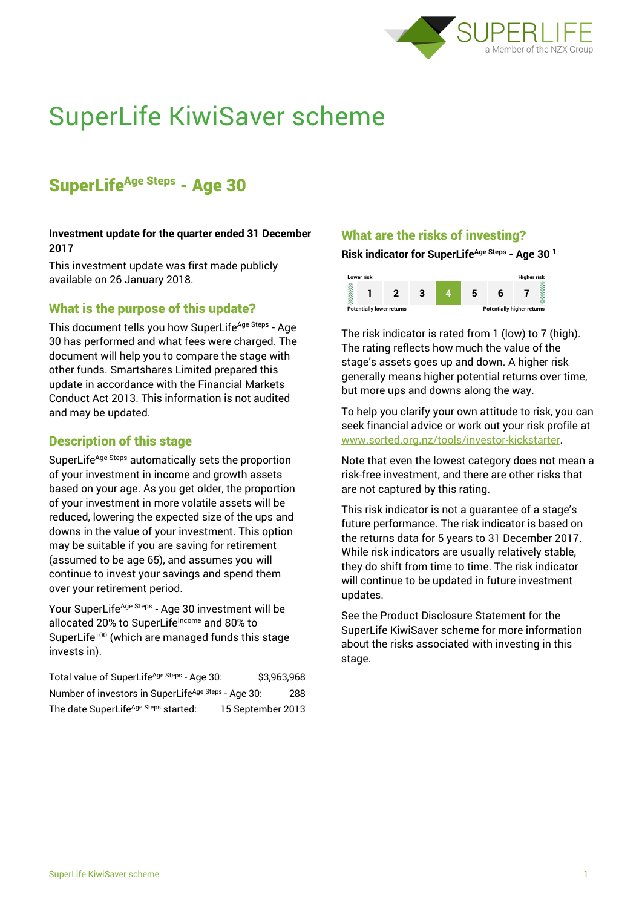

# SuperLife KiwiSaver scheme

# SuperLife<sup>Age Steps</sup> - Age 30

#### **Investment update for the quarter ended 31 December 2017**

This investment update was first made publicly available on 26 January 2018.

# What is the purpose of this update?

This document tells you how SuperLife<sup>Age Steps</sup> - Age 30 has performed and what fees were charged. The document will help you to compare the stage with other funds. Smartshares Limited prepared this update in accordance with the Financial Markets Conduct Act 2013. This information is not audited and may be updated.

## Description of this stage

SuperLife<sup>Age Steps</sup> automatically sets the proportion of your investment in income and growth assets based on your age. As you get older, the proportion of your investment in more volatile assets will be reduced, lowering the expected size of the ups and downs in the value of your investment. This option may be suitable if you are saving for retirement (assumed to be age 65), and assumes you will continue to invest your savings and spend them over your retirement period.

Your SuperLife<sup>Age Steps</sup> - Age 30 investment will be allocated 20% to SuperLifeIncome and 80% to SuperLife<sup>100</sup> (which are managed funds this stage invests in).

Total value of SuperLife<sup>Age Steps</sup> - Age 30: \$3,963,968 Number of investors in SuperLife<sup>Age Steps</sup> - Age 30: 288 The date SuperLife<sup>Age Steps</sup> started: 15 September 2013

# What are the risks of investing?

**Risk indicator for SuperLifeAge Steps - Age 30 <sup>1</sup>**



The risk indicator is rated from 1 (low) to 7 (high). The rating reflects how much the value of the stage's assets goes up and down. A higher risk generally means higher potential returns over time, but more ups and downs along the way.

To help you clarify your own attitude to risk, you can seek financial advice or work out your risk profile at [www.sorted.org.nz/tools/investor-kickstarter.](http://www.sorted.org.nz/tools/investor-kickstarter)

Note that even the lowest category does not mean a risk-free investment, and there are other risks that are not captured by this rating.

This risk indicator is not a guarantee of a stage's future performance. The risk indicator is based on the returns data for 5 years to 31 December 2017. While risk indicators are usually relatively stable, they do shift from time to time. The risk indicator will continue to be updated in future investment updates.

See the Product Disclosure Statement for the SuperLife KiwiSaver scheme for more information about the risks associated with investing in this stage.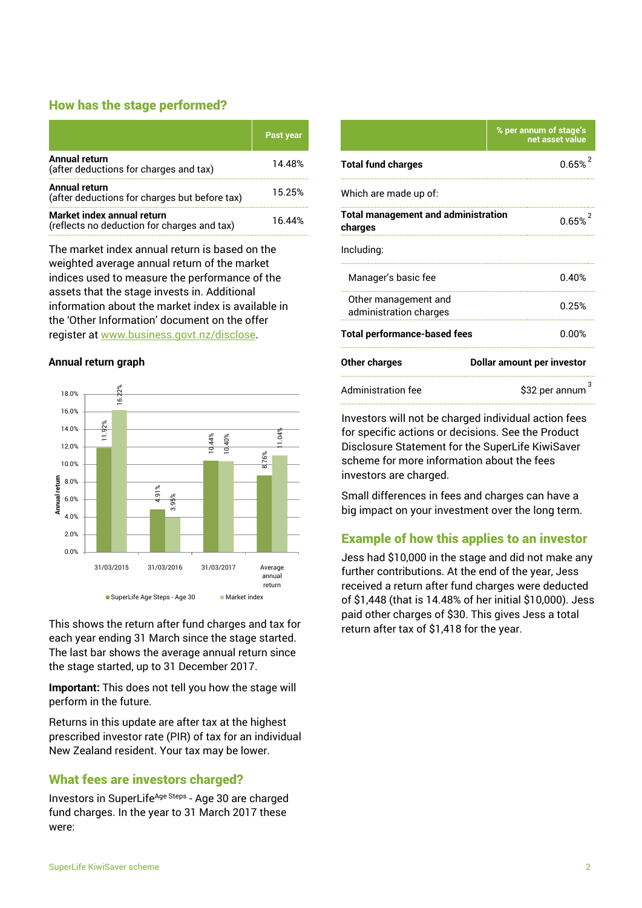## How has the stage performed?

|                                                                           | Past year |
|---------------------------------------------------------------------------|-----------|
| <b>Annual return</b><br>(after deductions for charges and tax)            | 14.48%    |
| <b>Annual return</b><br>(after deductions for charges but before tax)     | 15.25%    |
| Market index annual return<br>(reflects no deduction for charges and tax) | 16 44%    |

The market index annual return is based on the weighted average annual return of the market indices used to measure the performance of the assets that the stage invests in. Additional information about the market index is available in the 'Other Information' document on the offer register at www.business.govt.nz/disclose.

#### **Annual return graph**



This shows the return after fund charges and tax for each year ending 31 March since the stage started. The last bar shows the average annual return since the stage started, up to 31 December 2017.

**Important:** This does not tell you how the stage will perform in the future.

Returns in this update are after tax at the highest prescribed investor rate (PIR) of tax for an individual New Zealand resident. Your tax may be lower.

# What fees are investors charged?

Investors in SuperLife<sup>Age Steps</sup> - Age 30 are charged fund charges. In the year to 31 March 2017 these were:

|                                                       | % per annum of stage's<br>net asset value |  |
|-------------------------------------------------------|-------------------------------------------|--|
| <b>Total fund charges</b>                             | 0.65%                                     |  |
| Which are made up of:                                 |                                           |  |
| <b>Total management and administration</b><br>charges | 0.65%                                     |  |
| Including:                                            |                                           |  |
| Manager's basic fee                                   | 0.40%                                     |  |
| Other management and<br>administration charges        | 0.25%                                     |  |
| <b>Total performance-based fees</b>                   | 0.00%                                     |  |
| Other charges                                         | Dollar amount per investor                |  |
| <b>Administration fee</b>                             | \$32 per annum                            |  |

Investors will not be charged individual action fees for specific actions or decisions. See the Product Disclosure Statement for the SuperLife KiwiSaver scheme for more information about the fees investors are charged.

Small differences in fees and charges can have a big impact on your investment over the long term.

# Example of how this applies to an investor

Jess had \$10,000 in the stage and did not make any further contributions. At the end of the year, Jess received a return after fund charges were deducted of \$1,448 (that is 14.48% of her initial \$10,000). Jess paid other charges of \$30. This gives Jess a total return after tax of \$1,418 for the year.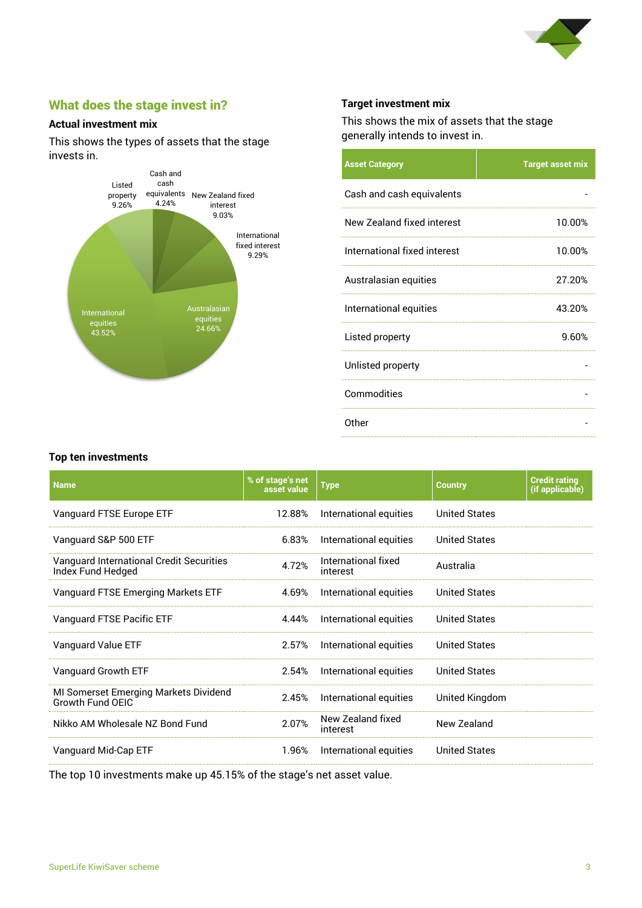

# What does the stage invest in?

#### **Actual investment mix**

This shows the types of assets that the stage invests in.



#### **Target investment mix**

This shows the mix of assets that the stage generally intends to invest in.

| <b>Asset Category</b>        | <b>Target asset mix</b> |
|------------------------------|-------------------------|
| Cash and cash equivalents    |                         |
| New Zealand fixed interest   | 10.00%                  |
| International fixed interest | 10.00%                  |
| Australasian equities        | 27.20%                  |
| International equities       | 43.20%                  |
| Listed property              | 9.60%                   |
| Unlisted property            |                         |
| Commodities                  |                         |
| Other                        |                         |

#### **Top ten investments**

| <b>Name</b>                                                      | % of stage's net<br>asset value | <b>Type</b>                     | <b>Country</b>       | <b>Credit rating</b><br>(if applicable) |
|------------------------------------------------------------------|---------------------------------|---------------------------------|----------------------|-----------------------------------------|
| Vanguard FTSE Europe ETF                                         | 12.88%                          | International equities          | <b>United States</b> |                                         |
| Vanguard S&P 500 ETF                                             | 6.83%                           | International equities          | <b>United States</b> |                                         |
| Vanguard International Credit Securities<br>Index Fund Hedged    | 4.72%                           | International fixed<br>interest | Australia            |                                         |
| Vanguard FTSE Emerging Markets ETF                               | 4.69%                           | International equities          | <b>United States</b> |                                         |
| Vanguard FTSE Pacific ETF                                        | 4.44%                           | International equities          | <b>United States</b> |                                         |
| Vanguard Value ETF                                               | 2.57%                           | International equities          | <b>United States</b> |                                         |
| Vanguard Growth ETF                                              | 2.54%                           | International equities          | <b>United States</b> |                                         |
| MI Somerset Emerging Markets Dividend<br><b>Growth Fund OEIC</b> | 2.45%                           | International equities          | United Kingdom       |                                         |
| Nikko AM Wholesale NZ Bond Fund                                  | 2.07%                           | New Zealand fixed<br>interest   | New Zealand          |                                         |
| Vanguard Mid-Cap ETF                                             | 1.96%                           | International equities          | <b>United States</b> |                                         |

The top 10 investments make up 45.15% of the stage's net asset value.